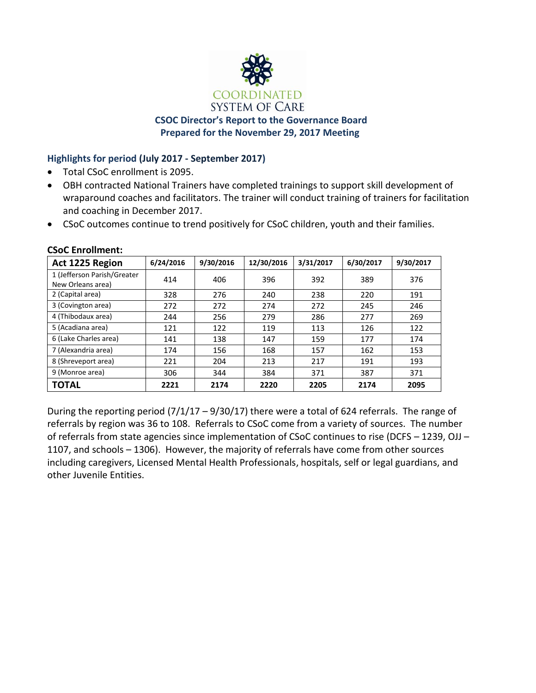

# **CSOC Director's Report to the Governance Board Prepared for the November 29, 2017 Meeting**

# **Highlights for period (July 2017 - September 2017)**

- Total CSoC enrollment is 2095.
- OBH contracted National Trainers have completed trainings to support skill development of wraparound coaches and facilitators. The trainer will conduct training of trainers for facilitation and coaching in December 2017.
- CSoC outcomes continue to trend positively for CSoC children, youth and their families.

| Act 1225 Region             | 6/24/2016 | 9/30/2016 | 12/30/2016 | 3/31/2017 | 6/30/2017 | 9/30/2017 |
|-----------------------------|-----------|-----------|------------|-----------|-----------|-----------|
| 1 (Jefferson Parish/Greater | 414       | 406       | 396        | 392       | 389       | 376       |
| New Orleans area)           |           |           |            |           |           |           |
| 2 (Capital area)            | 328       | 276       | 240        | 238       | 220       | 191       |
| 3 (Covington area)          | 272       | 272       | 274        | 272       | 245       | 246       |
| 4 (Thibodaux area)          | 244       | 256       | 279        | 286       | 277       | 269       |
| 5 (Acadiana area)           | 121       | 122       | 119        | 113       | 126       | 122       |
| 6 (Lake Charles area)       | 141       | 138       | 147        | 159       | 177       | 174       |
| 7 (Alexandria area)         | 174       | 156       | 168        | 157       | 162       | 153       |
| 8 (Shreveport area)         | 221       | 204       | 213        | 217       | 191       | 193       |
| 9 (Monroe area)             | 306       | 344       | 384        | 371       | 387       | 371       |
| TOTAL                       | 2221      | 2174      | 2220       | 2205      | 2174      | 2095      |

**CSoC Enrollment:**

During the reporting period (7/1/17 – 9/30/17) there were a total of 624 referrals. The range of referrals by region was 36 to 108. Referrals to CSoC come from a variety of sources. The number of referrals from state agencies since implementation of CSoC continues to rise (DCFS – 1239, OJJ – 1107, and schools – 1306). However, the majority of referrals have come from other sources including caregivers, Licensed Mental Health Professionals, hospitals, self or legal guardians, and other Juvenile Entities.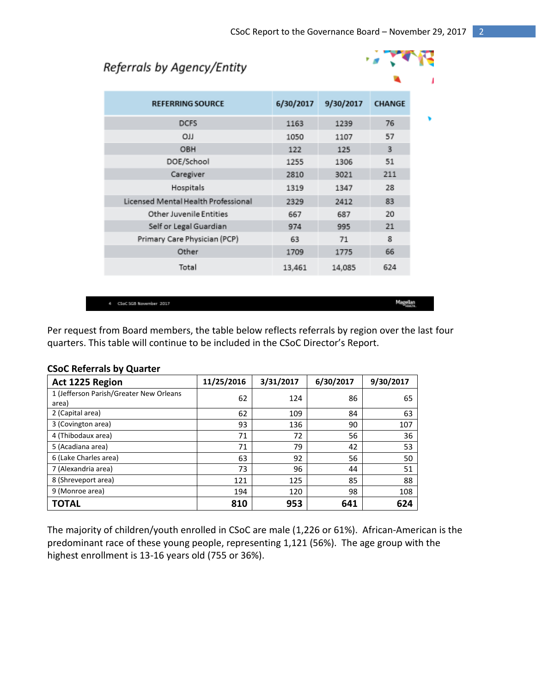$\mathcal{L}$ 

# Referrals by Agency/Entity

| $\sim$                              |           |           |               |  |
|-------------------------------------|-----------|-----------|---------------|--|
| <b>REFERRING SOURCE</b>             | 6/30/2017 | 9/30/2017 | <b>CHANGE</b> |  |
| <b>DCFS</b>                         | 1163      | 1239      | 76            |  |
| <b>OJJ</b>                          | 1050      | 1107      | 57            |  |
| OBH                                 | 122       | 125       | 3             |  |
| DOE/School                          | 1255      | 1306      | 51            |  |
| Caregiver                           | 2810      | 3021      | 211           |  |
| Hospitals                           | 1319      | 1347      | 28            |  |
| Licensed Mental Health Professional | 2329      | 2412      | 83            |  |
| <b>Other Juvenile Entities</b>      | 667       | 687       | 20            |  |
| Self or Legal Guardian              | 974       | 995       | 21            |  |
| Primary Care Physician (PCP)        | 63        | 71        | 8             |  |
| Other                               | 1709      | 1775      | 66            |  |
| Total                               | 13,461    | 14,085    | 624           |  |
|                                     |           |           |               |  |

4 CSoC 5GB November 2017

Magellan<br>"<sup>Haste</sup>

Per request from Board members, the table below reflects referrals by region over the last four quarters. This table will continue to be included in the CSoC Director's Report.

| Act 1225 Region                         | 11/25/2016 | 3/31/2017 | 6/30/2017 | 9/30/2017 |
|-----------------------------------------|------------|-----------|-----------|-----------|
| 1 (Jefferson Parish/Greater New Orleans | 62         | 124       | 86        | 65        |
| area)<br>2 (Capital area)               | 62         | 109       | 84        | 63        |
| 3 (Covington area)                      | 93         | 136       | 90        | 107       |
| 4 (Thibodaux area)                      | 71         | 72        | 56        | 36        |
| 5 (Acadiana area)                       | 71         | 79        | 42        | 53        |
| 6 (Lake Charles area)                   | 63         | 92        | 56        | 50        |
| 7 (Alexandria area)                     | 73         | 96        | 44        | 51        |
| 8 (Shreveport area)                     | 121        | 125       | 85        | 88        |
| 9 (Monroe area)                         | 194        | 120       | 98        | 108       |
| ΤΟΤΑL                                   | 810        | 953       | 641       | 624       |

### **CSoC Referrals by Quarter**

The majority of children/youth enrolled in CSoC are male (1,226 or 61%). African-American is the predominant race of these young people, representing 1,121 (56%). The age group with the highest enrollment is 13-16 years old (755 or 36%).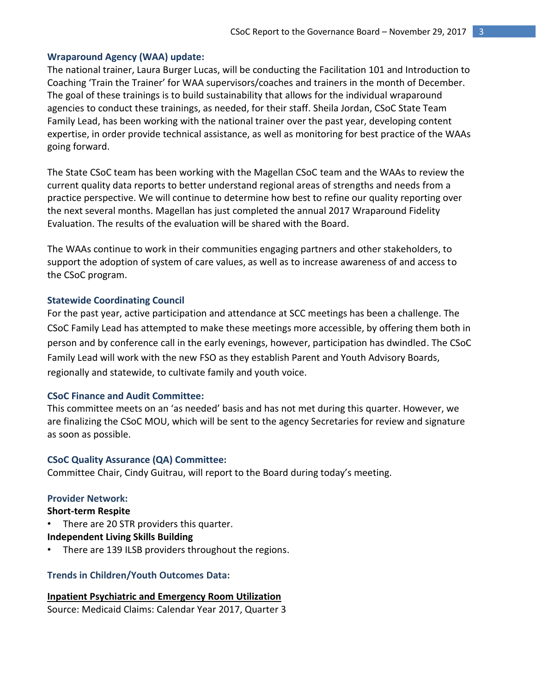### **Wraparound Agency (WAA) update:**

The national trainer, Laura Burger Lucas, will be conducting the Facilitation 101 and Introduction to Coaching 'Train the Trainer' for WAA supervisors/coaches and trainers in the month of December. The goal of these trainings is to build sustainability that allows for the individual wraparound agencies to conduct these trainings, as needed, for their staff. Sheila Jordan, CSoC State Team Family Lead, has been working with the national trainer over the past year, developing content expertise, in order provide technical assistance, as well as monitoring for best practice of the WAAs going forward.

The State CSoC team has been working with the Magellan CSoC team and the WAAs to review the current quality data reports to better understand regional areas of strengths and needs from a practice perspective. We will continue to determine how best to refine our quality reporting over the next several months. Magellan has just completed the annual 2017 Wraparound Fidelity Evaluation. The results of the evaluation will be shared with the Board.

The WAAs continue to work in their communities engaging partners and other stakeholders, to support the adoption of system of care values, as well as to increase awareness of and access to the CSoC program.

#### **Statewide Coordinating Council**

For the past year, active participation and attendance at SCC meetings has been a challenge. The CSoC Family Lead has attempted to make these meetings more accessible, by offering them both in person and by conference call in the early evenings, however, participation has dwindled. The CSoC Family Lead will work with the new FSO as they establish Parent and Youth Advisory Boards, regionally and statewide, to cultivate family and youth voice.

### **CSoC Finance and Audit Committee:**

This committee meets on an 'as needed' basis and has not met during this quarter. However, we are finalizing the CSoC MOU, which will be sent to the agency Secretaries for review and signature as soon as possible.

#### **CSoC Quality Assurance (QA) Committee:**

Committee Chair, Cindy Guitrau, will report to the Board during today's meeting.

#### **Provider Network:**

**Short-term Respite** 

There are 20 STR providers this quarter.

**Independent Living Skills Building**

There are 139 ILSB providers throughout the regions.

#### **Trends in Children/Youth Outcomes Data:**

**Inpatient Psychiatric and Emergency Room Utilization** Source: Medicaid Claims: Calendar Year 2017, Quarter 3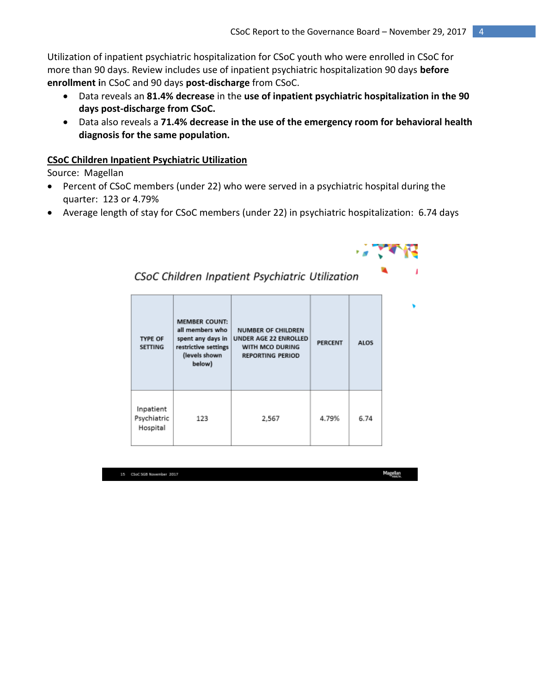Utilization of inpatient psychiatric hospitalization for CSoC youth who were enrolled in CSoC for more than 90 days. Review includes use of inpatient psychiatric hospitalization 90 days **before enrollment i**n CSoC and 90 days **post-discharge** from CSoC.

- Data reveals an **81.4% decrease** in the **use of inpatient psychiatric hospitalization in the 90 days post-discharge from CSoC.**
- Data also reveals a **71.4% decrease in the use of the emergency room for behavioral health diagnosis for the same population.**

## **CSoC Children Inpatient Psychiatric Utilization**

Source: Magellan

 Percent of CSoC members (under 22) who were served in a psychiatric hospital during the quarter: 123 or 4.79%

CSoC Children Inpatient Psychiatric Utilization

Average length of stay for CSoC members (under 22) in psychiatric hospitalization: 6.74 days

| <b>TYPE OF</b><br><b>SETTING</b>     | <b>MEMBER COUNT:</b><br>all members who<br>spent any days in<br>restrictive settings<br>(levels shown<br>below) | <b>NUMBER OF CHILDREN</b><br>UNDER AGE 22 ENROLLED<br>WITH MCO DURING<br><b>REPORTING PERIOD</b> | <b>PERCENT</b> | <b>ALOS</b> |
|--------------------------------------|-----------------------------------------------------------------------------------------------------------------|--------------------------------------------------------------------------------------------------|----------------|-------------|
| Inpatient<br>Psychiatric<br>Hospital | 123                                                                                                             | 2,567                                                                                            | 4.79%          | 6.74        |

15 CSoC 5GB November 2017

Magellan<br>Hanza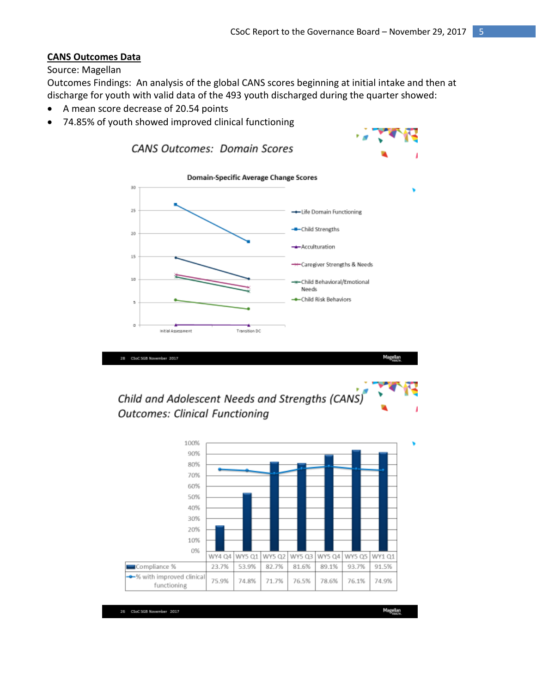### **CANS Outcomes Data**

#### Source: Magellan

Outcomes Findings: An analysis of the global CANS scores beginning at initial intake and then at discharge for youth with valid data of the 493 youth discharged during the quarter showed:

- A mean score decrease of 20.54 points
- 74.85% of youth showed improved clinical functioning



# Child and Adolescent Needs and Strengths (CANS) **Outcomes: Clinical Functioning**

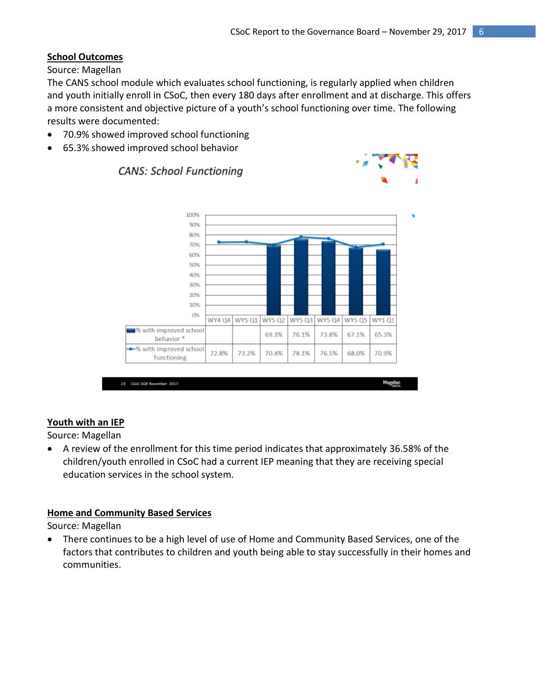# **School Outcomes**

Source: Magellan

The CANS school module which evaluates school functioning, is regularly applied when children and youth initially enroll in CSoC, then every 180 days after enrollment and at discharge. This offers a more consistent and objective picture of a youth's school functioning over time. The following results were documented:

70.9% showed improved school functioning

**CANS: School Functioning** 

65.3% showed improved school behavior



### **Youth with an IEP**

Source: Magellan

 A review of the enrollment for this time period indicates that approximately 36.58% of the children/youth enrolled in CSoC had a current IEP meaning that they are receiving special education services in the school system.

### **Home and Community Based Services**

Source: Magellan

 There continues to be a high level of use of Home and Community Based Services, one of the factors that contributes to children and youth being able to stay successfully in their homes and communities.